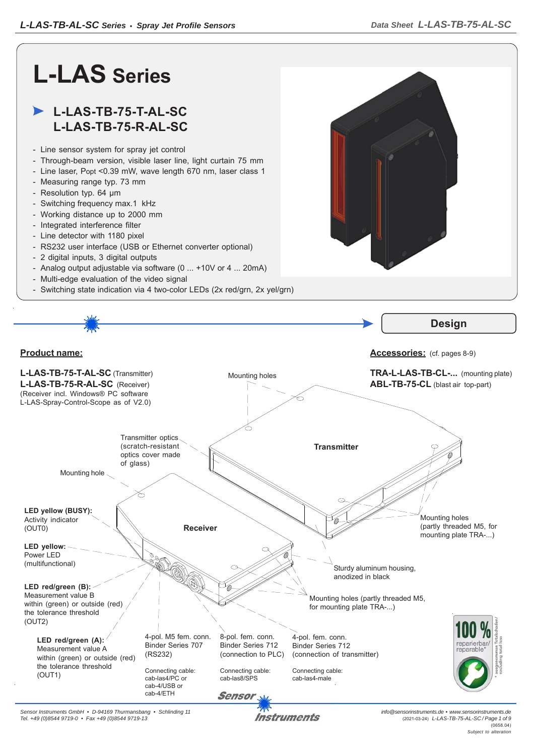

*Sensor Instruments GmbH • D-94169 Thurmansbang • Schlinding 11 Tel. +49 (0)8544 9719-0 • Fax +49 (0)8544 9719-13*

**Instruments** 

*info@sensorinstruments.de • www.sensorinstruments.de* (2021-03-24) *L-LAS-TB-75-AL-SC / Page 1 of 9*  $(0658.04)$ *Subject to alteration*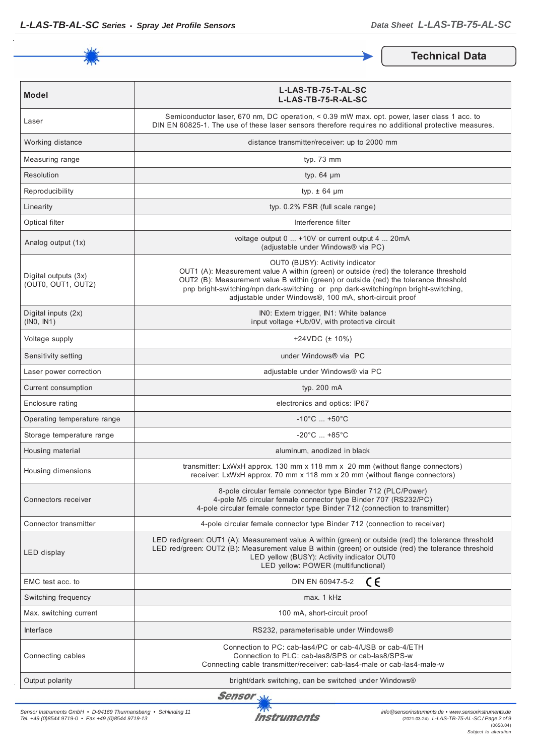

**Technical Data**

| <b>Model</b>                               | L-LAS-TB-75-T-AL-SC<br>L-LAS-TB-75-R-AL-SC                                                                                                                                                                                                                                                                                                                         |  |  |
|--------------------------------------------|--------------------------------------------------------------------------------------------------------------------------------------------------------------------------------------------------------------------------------------------------------------------------------------------------------------------------------------------------------------------|--|--|
| Laser                                      | Semiconductor laser, 670 nm, DC operation, < 0.39 mW max, opt. power, laser class 1 acc. to<br>DIN EN 60825-1. The use of these laser sensors therefore requires no additional protective measures.                                                                                                                                                                |  |  |
| Working distance                           | distance transmitter/receiver: up to 2000 mm                                                                                                                                                                                                                                                                                                                       |  |  |
| Measuring range                            | typ. 73 mm                                                                                                                                                                                                                                                                                                                                                         |  |  |
| Resolution                                 | typ. $64 \mu m$                                                                                                                                                                                                                                                                                                                                                    |  |  |
| Reproducibility                            | typ. $\pm$ 64 µm                                                                                                                                                                                                                                                                                                                                                   |  |  |
| Linearity                                  | typ. 0.2% FSR (full scale range)                                                                                                                                                                                                                                                                                                                                   |  |  |
| Optical filter                             | Interference filter                                                                                                                                                                                                                                                                                                                                                |  |  |
| Analog output (1x)                         | voltage output 0  +10V or current output 4  20mA<br>(adjustable under Windows® via PC)                                                                                                                                                                                                                                                                             |  |  |
| Digital outputs (3x)<br>(OUT0, OUT1, OUT2) | OUT0 (BUSY): Activity indicator<br>OUT1 (A): Measurement value A within (green) or outside (red) the tolerance threshold<br>OUT2 (B): Measurement value B within (green) or outside (red) the tolerance threshold<br>pnp bright-switching/npn dark-switching or pnp dark-switching/npn bright-switching,<br>adjustable under Windows®, 100 mA, short-circuit proof |  |  |
| Digital inputs (2x)<br>(INO, IN1)          | INO: Extern trigger, IN1: White balance<br>input voltage +Ub/0V, with protective circuit                                                                                                                                                                                                                                                                           |  |  |
| Voltage supply                             | +24VDC $(\pm 10\%)$                                                                                                                                                                                                                                                                                                                                                |  |  |
| Sensitivity setting                        | under Windows® via PC                                                                                                                                                                                                                                                                                                                                              |  |  |
| Laser power correction                     | adjustable under Windows® via PC                                                                                                                                                                                                                                                                                                                                   |  |  |
| Current consumption                        | typ. 200 mA                                                                                                                                                                                                                                                                                                                                                        |  |  |
| Enclosure rating                           | electronics and optics: IP67                                                                                                                                                                                                                                                                                                                                       |  |  |
| Operating temperature range                | $-10^{\circ}$ C  +50 $^{\circ}$ C                                                                                                                                                                                                                                                                                                                                  |  |  |
| Storage temperature range                  | $-20^{\circ}$ C  +85 $^{\circ}$ C                                                                                                                                                                                                                                                                                                                                  |  |  |
| Housing material                           | aluminum, anodized in black                                                                                                                                                                                                                                                                                                                                        |  |  |
| Housing dimensions                         | transmitter: LxWxH approx. 130 mm x 118 mm x 20 mm (without flange connectors)<br>receiver: LxWxH approx. 70 mm x 118 mm x 20 mm (without flange connectors)                                                                                                                                                                                                       |  |  |
| Connectors receiver                        | 8-pole circular female connector type Binder 712 (PLC/Power)<br>4-pole M5 circular female connector type Binder 707 (RS232/PC)<br>4-pole circular female connector type Binder 712 (connection to transmitter)                                                                                                                                                     |  |  |
| Connector transmitter                      | 4-pole circular female connector type Binder 712 (connection to receiver)                                                                                                                                                                                                                                                                                          |  |  |
| LED display                                | LED red/green: OUT1 (A): Measurement value A within (green) or outside (red) the tolerance threshold<br>LED red/green: OUT2 (B): Measurement value B within (green) or outside (red) the tolerance threshold<br>LED yellow (BUSY): Activity indicator OUT0<br>LED yellow: POWER (multifunctional)                                                                  |  |  |
| EMC test acc. to                           | DIN EN 60947-5-2<br>CE                                                                                                                                                                                                                                                                                                                                             |  |  |
| Switching frequency                        | max. 1 kHz                                                                                                                                                                                                                                                                                                                                                         |  |  |
| Max. switching current                     | 100 mA, short-circuit proof                                                                                                                                                                                                                                                                                                                                        |  |  |
| Interface                                  | RS232, parameterisable under Windows®                                                                                                                                                                                                                                                                                                                              |  |  |
| Connecting cables                          | Connection to PC: cab-las4/PC or cab-4/USB or cab-4/ETH<br>Connection to PLC: cab-las8/SPS or cab-las8/SPS-w<br>Connecting cable transmitter/receiver: cab-las4-male or cab-las4-male-w                                                                                                                                                                            |  |  |
| Output polarity                            | bright/dark switching, can be switched under Windows®                                                                                                                                                                                                                                                                                                              |  |  |

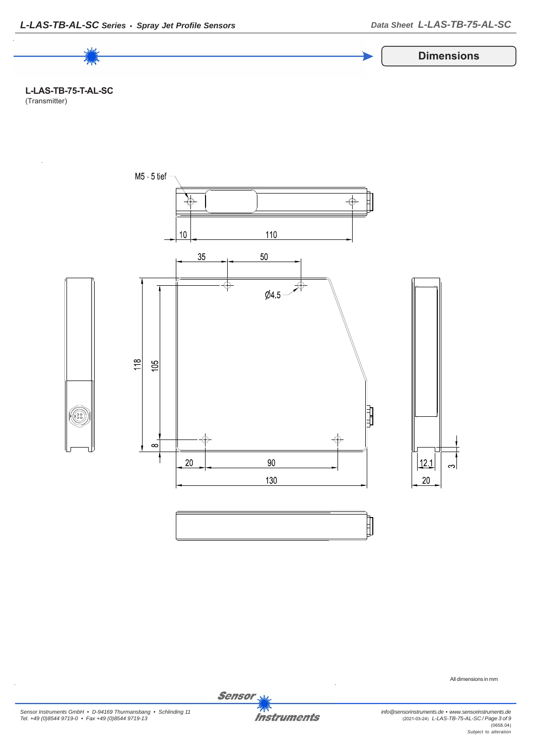

**L-LAS-TB-75-T-AL-SC** (Transmitter)



All dimensions in mm

*Sensor Instruments GmbH • D-94169 Thurmansbang • Schlinding 11 Tel. +49 (0)8544 9719-0 • Fax +49 (0)8544 9719-13*



Sensor<sub>N</sub>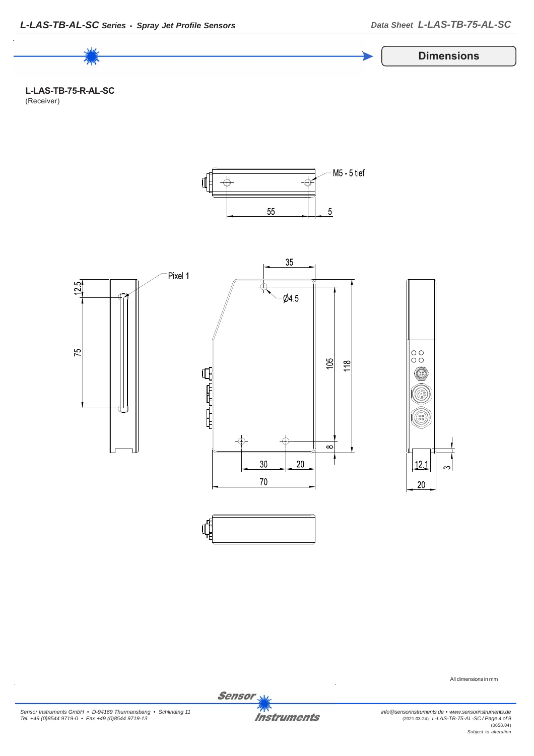

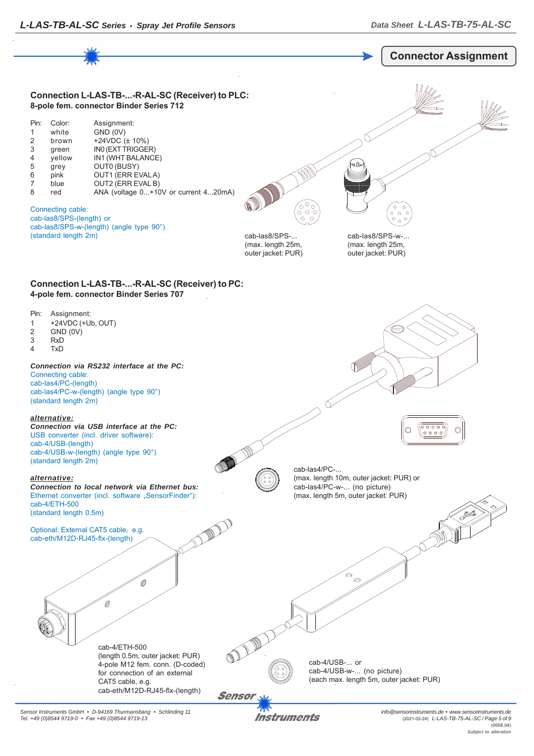

*Sensor Instruments GmbH • D-94169 Thurmansbang • Schlinding 11 Tel. +49 (0)8544 9719-0 • Fax +49 (0)8544 9719-13*

Instruments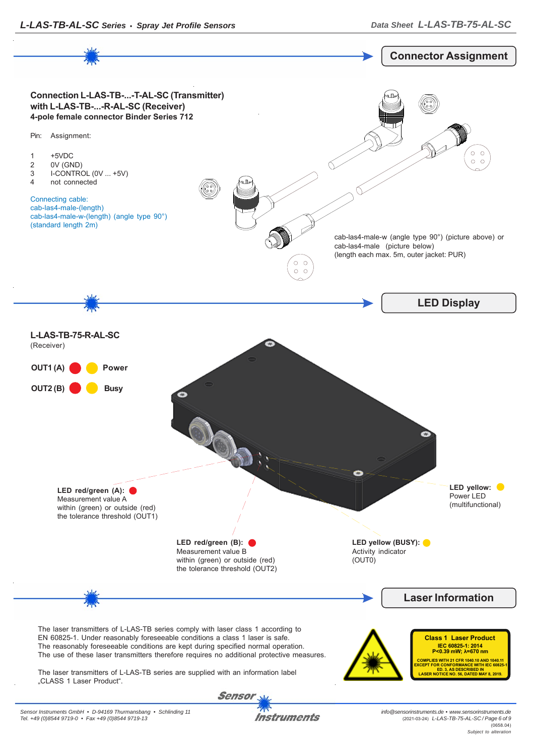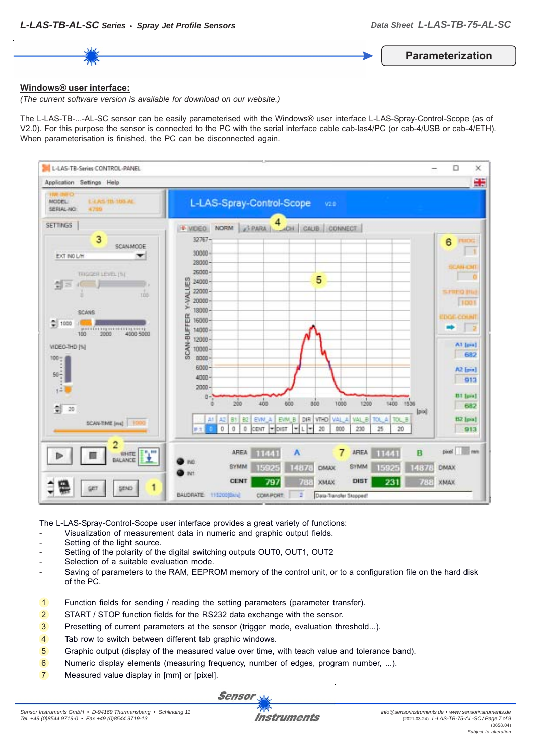**Parameterization**

#### **Windows® user interface:**

*(The current software version is available for download on our website.)*

The L-LAS-TB-...-AL-SC sensor can be easily parameterised with the Windows® user interface L-LAS-Spray-Control-Scope (as of V2.0). For this purpose the sensor is connected to the PC with the serial interface cable cab-las4/PC (or cab-4/USB or cab-4/ETH). When parameterisation is finished, the PC can be disconnected again.



The L-LAS-Spray-Control-Scope user interface provides a great variety of functions:

- Visualization of measurement data in numeric and graphic output fields.
- Setting of the light source.
- Setting of the polarity of the digital switching outputs OUT0, OUT1, OUT2
- Selection of a suitable evaluation mode.
- Saving of parameters to the RAM, EEPROM memory of the control unit, or to a configuration file on the hard disk of the PC.
- 1 Function fields for sending / reading the setting parameters (parameter transfer).
- 2 START / STOP function fields for the RS232 data exchange with the sensor.
- 3 Presetting of current parameters at the sensor (trigger mode, evaluation threshold...).
- 4 Tab row to switch between different tab graphic windows.
- 5 Graphic output (display of the measured value over time, with teach value and tolerance band).
- 6 Numeric display elements (measuring frequency, number of edges, program number, ...).
- 7 Measured value display in [mm] or [pixel].

Sensor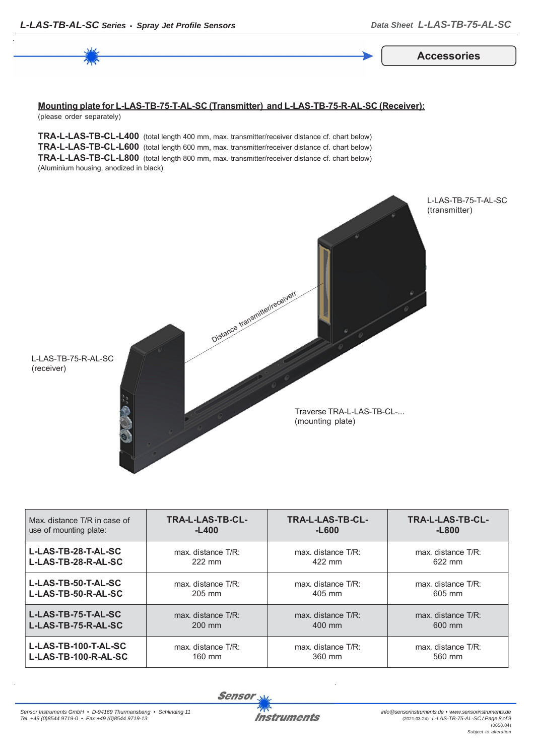**Accessories**

#### **Mounting plate for L-LAS-TB-75-T-AL-SC (Transmitter) and L-LAS-TB-75-R-AL-SC (Receiver):** (please order separately)

**TRA-L-LAS-TB-CL-L400** (total length 400 mm, max. transmitter/receiver distance cf. chart below) **TRA-L-LAS-TB-CL-L600** (total length 600 mm, max. transmitter/receiver distance cf. chart below) **TRA-L-LAS-TB-CL-L800** (total length 800 mm, max. transmitter/receiver distance cf. chart below) (Aluminium housing, anodized in black)



| Max, distance T/R in case of | TRA-L-LAS-TB-CL-   | <b>TRA-L-LAS-TB-CL-</b> | TRA-L-LAS-TB-CL-       |
|------------------------------|--------------------|-------------------------|------------------------|
| use of mounting plate:       | $-L400$            | $-L600$                 | $-L800$                |
| L-LAS-TB-28-T-AL-SC          | max. distance T/R: | $max$ distance $T/R$ :  | $max$ distance $T/R$ : |
| L-LAS-TB-28-R-AL-SC          | 222 mm             | 422 mm                  | 622 mm                 |
| L-LAS-TB-50-T-AL-SC          | max. distance T/R: | $max$ distance $T/R$ :  | max. distance T/R:     |
| L-LAS-TB-50-R-AL-SC          | 205 mm             | 405 mm                  | 605 mm                 |
| L-LAS-TB-75-T-AL-SC          | max. distance T/R: | $max$ distance $T/R$ :  | $max$ distance $T/R$ : |
| L-LAS-TB-75-R-AL-SC          | 200 mm             | 400 mm                  | 600 mm                 |
| L-LAS-TB-100-T-AL-SC         | max. distance T/R: | max. distance T/R:      | max. distance T/R:     |
| L-LAS-TB-100-R-AL-SC         | 160 mm             | 360 mm                  | 560 mm                 |

**Sensor**